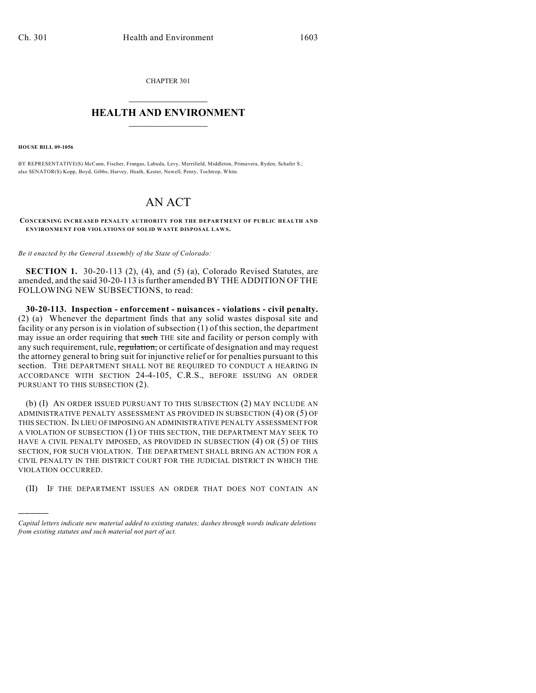CHAPTER 301  $\mathcal{L}_\text{max}$  . The set of the set of the set of the set of the set of the set of the set of the set of the set of the set of the set of the set of the set of the set of the set of the set of the set of the set of the set

## **HEALTH AND ENVIRONMENT**  $\_$

**HOUSE BILL 09-1056**

)))))

BY REPRESENTATIVE(S) McCann, Fischer, Frangas, Labuda, Levy, Merrifield, Middleton, Primavera, Ryden, Schafer S.; also SENATOR(S) Kopp, Boyd, Gibbs, Harvey, Heath, Kester, Newell, Penry, Tochtrop, White.

## AN ACT

**CONCERNING INCREASED PENALTY AUTHORITY FOR THE DEPARTMENT OF PUBLIC HEALTH AND** ENVIRONMENT FOR VIOLATIONS OF SOLID WASTE DISPOSAL LAWS.

*Be it enacted by the General Assembly of the State of Colorado:*

**SECTION 1.** 30-20-113 (2), (4), and (5) (a), Colorado Revised Statutes, are amended, and the said 30-20-113 is further amended BY THE ADDITION OF THE FOLLOWING NEW SUBSECTIONS, to read:

**30-20-113. Inspection - enforcement - nuisances - violations - civil penalty.** (2) (a) Whenever the department finds that any solid wastes disposal site and facility or any person is in violation of subsection (1) of this section, the department may issue an order requiring that such THE site and facility or person comply with any such requirement, rule, regulation, or certificate of designation and may request the attorney general to bring suit for injunctive relief or for penalties pursuant to this section. THE DEPARTMENT SHALL NOT BE REQUIRED TO CONDUCT A HEARING IN ACCORDANCE WITH SECTION 24-4-105, C.R.S., BEFORE ISSUING AN ORDER PURSUANT TO THIS SUBSECTION (2).

(b) (I) AN ORDER ISSUED PURSUANT TO THIS SUBSECTION (2) MAY INCLUDE AN ADMINISTRATIVE PENALTY ASSESSMENT AS PROVIDED IN SUBSECTION (4) OR (5) OF THIS SECTION. IN LIEU OF IMPOSING AN ADMINISTRATIVE PENALTY ASSESSMENT FOR A VIOLATION OF SUBSECTION (1) OF THIS SECTION, THE DEPARTMENT MAY SEEK TO HAVE A CIVIL PENALTY IMPOSED, AS PROVIDED IN SUBSECTION (4) OR (5) OF THIS SECTION, FOR SUCH VIOLATION. THE DEPARTMENT SHALL BRING AN ACTION FOR A CIVIL PENALTY IN THE DISTRICT COURT FOR THE JUDICIAL DISTRICT IN WHICH THE VIOLATION OCCURRED.

(II) IF THE DEPARTMENT ISSUES AN ORDER THAT DOES NOT CONTAIN AN

*Capital letters indicate new material added to existing statutes; dashes through words indicate deletions from existing statutes and such material not part of act.*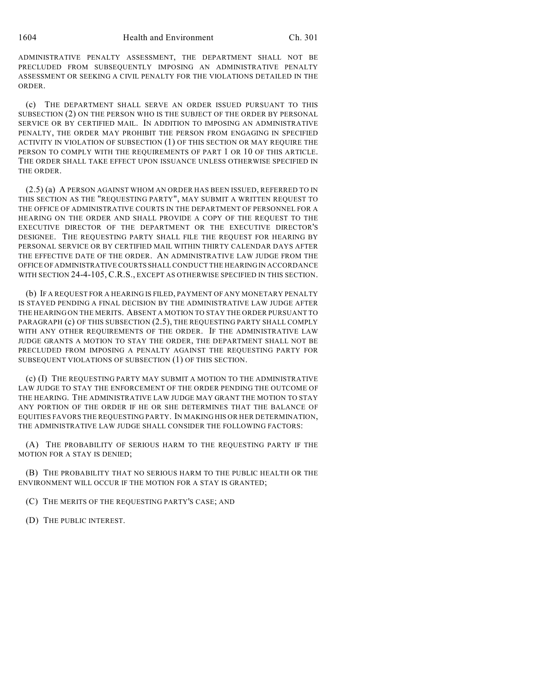ADMINISTRATIVE PENALTY ASSESSMENT, THE DEPARTMENT SHALL NOT BE PRECLUDED FROM SUBSEQUENTLY IMPOSING AN ADMINISTRATIVE PENALTY ASSESSMENT OR SEEKING A CIVIL PENALTY FOR THE VIOLATIONS DETAILED IN THE ORDER.

(c) THE DEPARTMENT SHALL SERVE AN ORDER ISSUED PURSUANT TO THIS SUBSECTION (2) ON THE PERSON WHO IS THE SUBJECT OF THE ORDER BY PERSONAL SERVICE OR BY CERTIFIED MAIL. IN ADDITION TO IMPOSING AN ADMINISTRATIVE PENALTY, THE ORDER MAY PROHIBIT THE PERSON FROM ENGAGING IN SPECIFIED ACTIVITY IN VIOLATION OF SUBSECTION (1) OF THIS SECTION OR MAY REQUIRE THE PERSON TO COMPLY WITH THE REQUIREMENTS OF PART 1 OR 10 OF THIS ARTICLE. THE ORDER SHALL TAKE EFFECT UPON ISSUANCE UNLESS OTHERWISE SPECIFIED IN THE ORDER.

(2.5) (a) A PERSON AGAINST WHOM AN ORDER HAS BEEN ISSUED, REFERRED TO IN THIS SECTION AS THE "REQUESTING PARTY", MAY SUBMIT A WRITTEN REQUEST TO THE OFFICE OF ADMINISTRATIVE COURTS IN THE DEPARTMENT OF PERSONNEL FOR A HEARING ON THE ORDER AND SHALL PROVIDE A COPY OF THE REQUEST TO THE EXECUTIVE DIRECTOR OF THE DEPARTMENT OR THE EXECUTIVE DIRECTOR'S DESIGNEE. THE REQUESTING PARTY SHALL FILE THE REQUEST FOR HEARING BY PERSONAL SERVICE OR BY CERTIFIED MAIL WITHIN THIRTY CALENDAR DAYS AFTER THE EFFECTIVE DATE OF THE ORDER. AN ADMINISTRATIVE LAW JUDGE FROM THE OFFICE OF ADMINISTRATIVE COURTS SHALL CONDUCT THE HEARING IN ACCORDANCE WITH SECTION 24-4-105, C.R.S., EXCEPT AS OTHERWISE SPECIFIED IN THIS SECTION.

(b) IF A REQUEST FOR A HEARING IS FILED, PAYMENT OF ANY MONETARY PENALTY IS STAYED PENDING A FINAL DECISION BY THE ADMINISTRATIVE LAW JUDGE AFTER THE HEARING ON THE MERITS. ABSENT A MOTION TO STAY THE ORDER PURSUANT TO PARAGRAPH (c) OF THIS SUBSECTION (2.5), THE REQUESTING PARTY SHALL COMPLY WITH ANY OTHER REQUIREMENTS OF THE ORDER. IF THE ADMINISTRATIVE LAW JUDGE GRANTS A MOTION TO STAY THE ORDER, THE DEPARTMENT SHALL NOT BE PRECLUDED FROM IMPOSING A PENALTY AGAINST THE REQUESTING PARTY FOR SUBSEQUENT VIOLATIONS OF SUBSECTION (1) OF THIS SECTION.

(c) (I) THE REQUESTING PARTY MAY SUBMIT A MOTION TO THE ADMINISTRATIVE LAW JUDGE TO STAY THE ENFORCEMENT OF THE ORDER PENDING THE OUTCOME OF THE HEARING. THE ADMINISTRATIVE LAW JUDGE MAY GRANT THE MOTION TO STAY ANY PORTION OF THE ORDER IF HE OR SHE DETERMINES THAT THE BALANCE OF EQUITIES FAVORS THE REQUESTING PARTY. IN MAKING HIS OR HER DETERMINATION, THE ADMINISTRATIVE LAW JUDGE SHALL CONSIDER THE FOLLOWING FACTORS:

(A) THE PROBABILITY OF SERIOUS HARM TO THE REQUESTING PARTY IF THE MOTION FOR A STAY IS DENIED;

(B) THE PROBABILITY THAT NO SERIOUS HARM TO THE PUBLIC HEALTH OR THE ENVIRONMENT WILL OCCUR IF THE MOTION FOR A STAY IS GRANTED;

(C) THE MERITS OF THE REQUESTING PARTY'S CASE; AND

(D) THE PUBLIC INTEREST.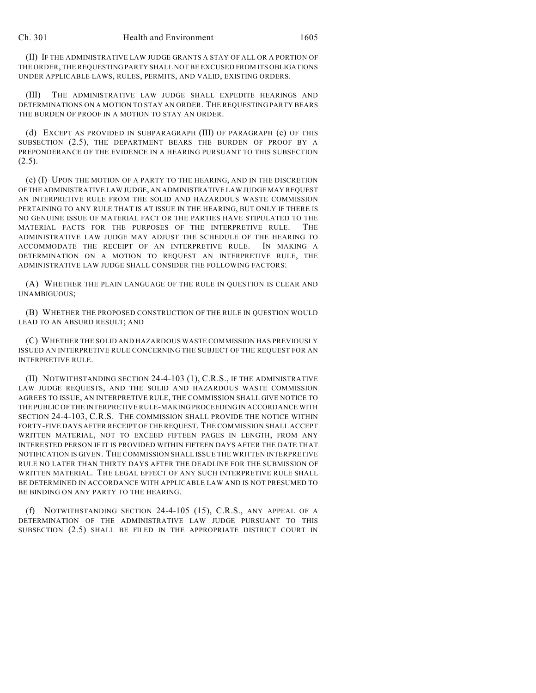(II) IF THE ADMINISTRATIVE LAW JUDGE GRANTS A STAY OF ALL OR A PORTION OF THE ORDER, THE REQUESTING PARTY SHALL NOT BE EXCUSED FROM ITS OBLIGATIONS UNDER APPLICABLE LAWS, RULES, PERMITS, AND VALID, EXISTING ORDERS.

(III) THE ADMINISTRATIVE LAW JUDGE SHALL EXPEDITE HEARINGS AND DETERMINATIONS ON A MOTION TO STAY AN ORDER. THE REQUESTING PARTY BEARS THE BURDEN OF PROOF IN A MOTION TO STAY AN ORDER.

(d) EXCEPT AS PROVIDED IN SUBPARAGRAPH (III) OF PARAGRAPH (c) OF THIS SUBSECTION (2.5), THE DEPARTMENT BEARS THE BURDEN OF PROOF BY A PREPONDERANCE OF THE EVIDENCE IN A HEARING PURSUANT TO THIS SUBSECTION  $(2.5)$ .

(e) (I) UPON THE MOTION OF A PARTY TO THE HEARING, AND IN THE DISCRETION OF THE ADMINISTRATIVE LAW JUDGE, AN ADMINISTRATIVE LAW JUDGE MAY REQUEST AN INTERPRETIVE RULE FROM THE SOLID AND HAZARDOUS WASTE COMMISSION PERTAINING TO ANY RULE THAT IS AT ISSUE IN THE HEARING, BUT ONLY IF THERE IS NO GENUINE ISSUE OF MATERIAL FACT OR THE PARTIES HAVE STIPULATED TO THE MATERIAL FACTS FOR THE PURPOSES OF THE INTERPRETIVE RULE. THE ADMINISTRATIVE LAW JUDGE MAY ADJUST THE SCHEDULE OF THE HEARING TO ACCOMMODATE THE RECEIPT OF AN INTERPRETIVE RULE. IN MAKING A DETERMINATION ON A MOTION TO REQUEST AN INTERPRETIVE RULE, THE ADMINISTRATIVE LAW JUDGE SHALL CONSIDER THE FOLLOWING FACTORS:

(A) WHETHER THE PLAIN LANGUAGE OF THE RULE IN QUESTION IS CLEAR AND UNAMBIGUOUS;

(B) WHETHER THE PROPOSED CONSTRUCTION OF THE RULE IN QUESTION WOULD LEAD TO AN ABSURD RESULT; AND

(C) WHETHER THE SOLID AND HAZARDOUS WASTE COMMISSION HAS PREVIOUSLY ISSUED AN INTERPRETIVE RULE CONCERNING THE SUBJECT OF THE REQUEST FOR AN INTERPRETIVE RULE.

(II) NOTWITHSTANDING SECTION 24-4-103 (1), C.R.S., IF THE ADMINISTRATIVE LAW JUDGE REQUESTS, AND THE SOLID AND HAZARDOUS WASTE COMMISSION AGREES TO ISSUE, AN INTERPRETIVE RULE, THE COMMISSION SHALL GIVE NOTICE TO THE PUBLIC OF THE INTERPRETIVE RULE-MAKING PROCEEDING IN ACCORDANCE WITH SECTION 24-4-103, C.R.S. THE COMMISSION SHALL PROVIDE THE NOTICE WITHIN FORTY-FIVE DAYS AFTER RECEIPT OF THE REQUEST. THE COMMISSION SHALL ACCEPT WRITTEN MATERIAL, NOT TO EXCEED FIFTEEN PAGES IN LENGTH, FROM ANY INTERESTED PERSON IF IT IS PROVIDED WITHIN FIFTEEN DAYS AFTER THE DATE THAT NOTIFICATION IS GIVEN. THE COMMISSION SHALL ISSUE THE WRITTEN INTERPRETIVE RULE NO LATER THAN THIRTY DAYS AFTER THE DEADLINE FOR THE SUBMISSION OF WRITTEN MATERIAL. THE LEGAL EFFECT OF ANY SUCH INTERPRETIVE RULE SHALL BE DETERMINED IN ACCORDANCE WITH APPLICABLE LAW AND IS NOT PRESUMED TO BE BINDING ON ANY PARTY TO THE HEARING.

(f) NOTWITHSTANDING SECTION 24-4-105 (15), C.R.S., ANY APPEAL OF A DETERMINATION OF THE ADMINISTRATIVE LAW JUDGE PURSUANT TO THIS SUBSECTION (2.5) SHALL BE FILED IN THE APPROPRIATE DISTRICT COURT IN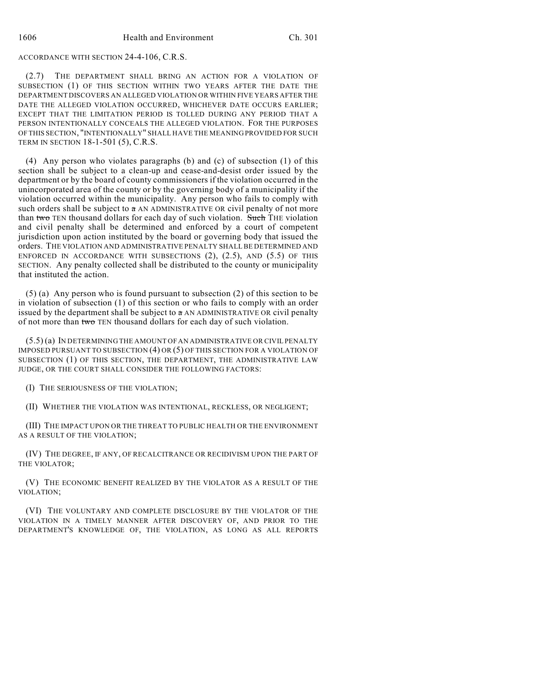## ACCORDANCE WITH SECTION 24-4-106, C.R.S.

(2.7) THE DEPARTMENT SHALL BRING AN ACTION FOR A VIOLATION OF SUBSECTION (1) OF THIS SECTION WITHIN TWO YEARS AFTER THE DATE THE DEPARTMENT DISCOVERS AN ALLEGED VIOLATION OR WITHIN FIVE YEARS AFTER THE DATE THE ALLEGED VIOLATION OCCURRED, WHICHEVER DATE OCCURS EARLIER; EXCEPT THAT THE LIMITATION PERIOD IS TOLLED DURING ANY PERIOD THAT A PERSON INTENTIONALLY CONCEALS THE ALLEGED VIOLATION. FOR THE PURPOSES OF THIS SECTION, "INTENTIONALLY" SHALL HAVE THE MEANING PROVIDED FOR SUCH TERM IN SECTION 18-1-501 (5), C.R.S.

(4) Any person who violates paragraphs (b) and (c) of subsection (1) of this section shall be subject to a clean-up and cease-and-desist order issued by the department or by the board of county commissioners if the violation occurred in the unincorporated area of the county or by the governing body of a municipality if the violation occurred within the municipality. Any person who fails to comply with such orders shall be subject to a AN ADMINISTRATIVE OR civil penalty of not more than two TEN thousand dollars for each day of such violation. Such THE violation and civil penalty shall be determined and enforced by a court of competent jurisdiction upon action instituted by the board or governing body that issued the orders. THE VIOLATION AND ADMINISTRATIVE PENALTY SHALL BE DETERMINED AND ENFORCED IN ACCORDANCE WITH SUBSECTIONS  $(2)$ ,  $(2.5)$ , AND  $(5.5)$  OF THIS SECTION. Any penalty collected shall be distributed to the county or municipality that instituted the action.

(5) (a) Any person who is found pursuant to subsection (2) of this section to be in violation of subsection (1) of this section or who fails to comply with an order issued by the department shall be subject to  $\alpha$  AN ADMINISTRATIVE OR civil penalty of not more than two TEN thousand dollars for each day of such violation.

(5.5) (a) IN DETERMINING THE AMOUNT OF AN ADMINISTRATIVE OR CIVIL PENALTY IMPOSED PURSUANT TO SUBSECTION (4) OR (5) OF THIS SECTION FOR A VIOLATION OF SUBSECTION (1) OF THIS SECTION, THE DEPARTMENT, THE ADMINISTRATIVE LAW JUDGE, OR THE COURT SHALL CONSIDER THE FOLLOWING FACTORS:

(I) THE SERIOUSNESS OF THE VIOLATION;

(II) WHETHER THE VIOLATION WAS INTENTIONAL, RECKLESS, OR NEGLIGENT;

(III) THE IMPACT UPON OR THE THREAT TO PUBLIC HEALTH OR THE ENVIRONMENT AS A RESULT OF THE VIOLATION;

(IV) THE DEGREE, IF ANY, OF RECALCITRANCE OR RECIDIVISM UPON THE PART OF THE VIOLATOR;

(V) THE ECONOMIC BENEFIT REALIZED BY THE VIOLATOR AS A RESULT OF THE VIOLATION;

(VI) THE VOLUNTARY AND COMPLETE DISCLOSURE BY THE VIOLATOR OF THE VIOLATION IN A TIMELY MANNER AFTER DISCOVERY OF, AND PRIOR TO THE DEPARTMENT'S KNOWLEDGE OF, THE VIOLATION, AS LONG AS ALL REPORTS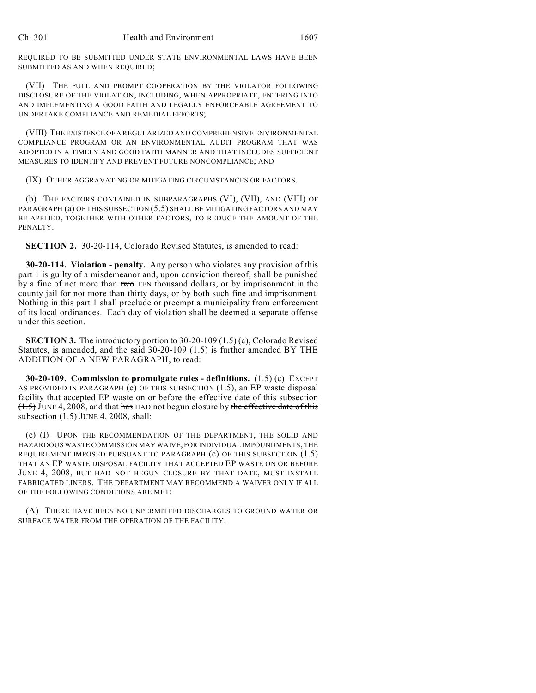REQUIRED TO BE SUBMITTED UNDER STATE ENVIRONMENTAL LAWS HAVE BEEN SUBMITTED AS AND WHEN REQUIRED;

(VII) THE FULL AND PROMPT COOPERATION BY THE VIOLATOR FOLLOWING DISCLOSURE OF THE VIOLATION, INCLUDING, WHEN APPROPRIATE, ENTERING INTO AND IMPLEMENTING A GOOD FAITH AND LEGALLY ENFORCEABLE AGREEMENT TO UNDERTAKE COMPLIANCE AND REMEDIAL EFFORTS;

(VIII) THE EXISTENCE OF A REGULARIZED AND COMPREHENSIVE ENVIRONMENTAL COMPLIANCE PROGRAM OR AN ENVIRONMENTAL AUDIT PROGRAM THAT WAS ADOPTED IN A TIMELY AND GOOD FAITH MANNER AND THAT INCLUDES SUFFICIENT MEASURES TO IDENTIFY AND PREVENT FUTURE NONCOMPLIANCE; AND

(IX) OTHER AGGRAVATING OR MITIGATING CIRCUMSTANCES OR FACTORS.

(b) THE FACTORS CONTAINED IN SUBPARAGRAPHS (VI), (VII), AND (VIII) OF PARAGRAPH (a) OF THIS SUBSECTION (5.5) SHALL BE MITIGATING FACTORS AND MAY BE APPLIED, TOGETHER WITH OTHER FACTORS, TO REDUCE THE AMOUNT OF THE PENALTY.

**SECTION 2.** 30-20-114, Colorado Revised Statutes, is amended to read:

**30-20-114. Violation - penalty.** Any person who violates any provision of this part 1 is guilty of a misdemeanor and, upon conviction thereof, shall be punished by a fine of not more than two TEN thousand dollars, or by imprisonment in the county jail for not more than thirty days, or by both such fine and imprisonment. Nothing in this part 1 shall preclude or preempt a municipality from enforcement of its local ordinances. Each day of violation shall be deemed a separate offense under this section.

**SECTION 3.** The introductory portion to 30-20-109 (1.5) (c), Colorado Revised Statutes, is amended, and the said 30-20-109 (1.5) is further amended BY THE ADDITION OF A NEW PARAGRAPH, to read:

**30-20-109. Commission to promulgate rules - definitions.** (1.5) (c) EXCEPT AS PROVIDED IN PARAGRAPH (e) OF THIS SUBSECTION (1.5), an EP waste disposal facility that accepted EP waste on or before the effective date of this subsection  $(1.5)$  JUNE 4, 2008, and that has HAD not begun closure by the effective date of this subsection  $(1.5)$  JUNE 4, 2008, shall:

(e) (I) UPON THE RECOMMENDATION OF THE DEPARTMENT, THE SOLID AND HAZARDOUS WASTE COMMISSION MAY WAIVE, FOR INDIVIDUAL IMPOUNDMENTS, THE REQUIREMENT IMPOSED PURSUANT TO PARAGRAPH (c) OF THIS SUBSECTION (1.5) THAT AN EP WASTE DISPOSAL FACILITY THAT ACCEPTED EP WASTE ON OR BEFORE JUNE 4, 2008, BUT HAD NOT BEGUN CLOSURE BY THAT DATE, MUST INSTALL FABRICATED LINERS. THE DEPARTMENT MAY RECOMMEND A WAIVER ONLY IF ALL OF THE FOLLOWING CONDITIONS ARE MET:

(A) THERE HAVE BEEN NO UNPERMITTED DISCHARGES TO GROUND WATER OR SURFACE WATER FROM THE OPERATION OF THE FACILITY;